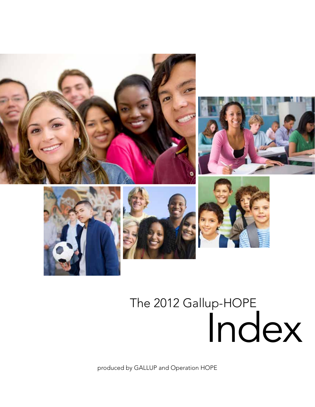

# The 2012 Gallup-HOPE Index

produced by GALLUP and Operation HOPE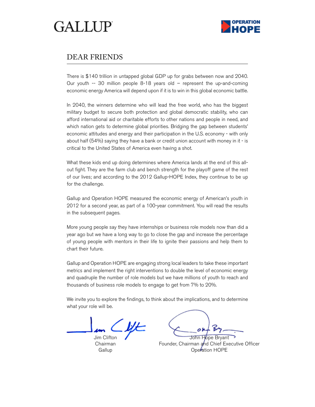

### DEAR FRIENDS

There is \$140 trillion in untapped global GDP up for grabs between now and 2040. Our youth -- 30 million people 8-18 years old – represent the up-and-coming economic energy America will depend upon if it is to win in this global economic battle.

In 2040, the winners determine who will lead the free world, who has the biggest military budget to secure both protection and global democratic stability, who can afford international aid or charitable efforts to other nations and people in need, and which nation gets to determine global priorities. Bridging the gap between students' economic attitudes and energy and their participation in the U.S. economy - with only about half (54%) saying they have a bank or credit union account with money in it - is critical to the United States of America even having a shot.

What these kids end up doing determines where America lands at the end of this allout fight. They are the farm club and bench strength for the playoff game of the rest of our lives; and according to the 2012 Gallup-HOPE Index, they continue to be up for the challenge.

Gallup and Operation HOPE measured the economic energy of American's youth in 2012 for a second year, as part of a 100-year commitment. You will read the results in the subsequent pages.

More young people say they have internships or business role models now than did a year ago but we have a long way to go to close the gap and increase the percentage of young people with mentors in their life to ignite their passions and help them to chart their future.

Gallup and Operation HOPE are engaging strong local leaders to take these important metrics and implement the right interventions to double the level of economic energy and quadruple the number of role models but we have millions of youth to reach and thousands of business role models to engage to get from 7% to 20%.

We invite you to explore the findings, to think about the implications, and to determine what your role will be.

Jim Clifton Chairman **Gallup** 

John Hope Bryant

Founder, Chairman and Chief Executive Officer Operation HOPE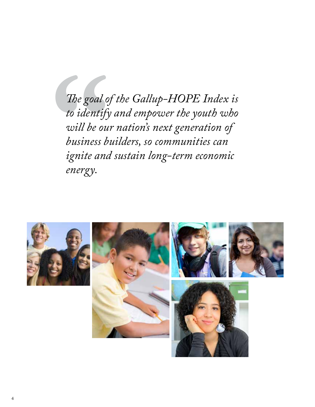The goal of the Gallup-HOPE Index is<br>to identify and empower the youth who<br>will be our nation's next generation of<br>business builders, so communities can<br>ignite and sustain long-term economic<br>energy. *to identify and empower the youth who will be our nation's next generation of business builders, so communities can ignite and sustain long-term economic energy.* 

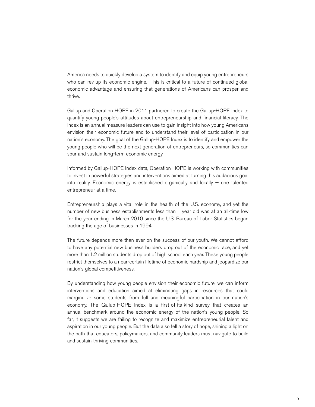America needs to quickly develop a system to identify and equip young entrepreneurs who can rev up its economic engine. This is critical to a future of continued global economic advantage and ensuring that generations of Americans can prosper and thrive.

Gallup and Operation HOPE in 2011 partnered to create the Gallup-HOPE Index to quantify young people's attitudes about entrepreneurship and financial literacy. The Index is an annual measure leaders can use to gain insight into how young Americans envision their economic future and to understand their level of participation in our nation's economy. The goal of the Gallup-HOPE Index is to identify and empower the young people who will be the next generation of entrepreneurs, so communities can spur and sustain long-term economic energy.

Informed by Gallup-HOPE Index data, Operation HOPE is working with communities to invest in powerful strategies and interventions aimed at turning this audacious goal into reality. Economic energy is established organically and locally — one talented entrepreneur at a time.

Entrepreneurship plays a vital role in the health of the U.S. economy, and yet the number of new business establishments less than 1 year old was at an all-time low for the year ending in March 2010 since the U.S. Bureau of Labor Statistics began tracking the age of businesses in 1994.

The future depends more than ever on the success of our youth. We cannot afford to have any potential new business builders drop out of the economic race, and yet more than 1.2 million students drop out of high school each year. These young people restrict themselves to a near-certain lifetime of economic hardship and jeopardize our nation's global competitiveness.

By understanding how young people envision their economic future, we can inform interventions and education aimed at eliminating gaps in resources that could marginalize some students from full and meaningful participation in our nation's economy. The Gallup-HOPE Index is a first-of-its-kind survey that creates an annual benchmark around the economic energy of the nation's young people. So far, it suggests we are failing to recognize and maximize entrepreneurial talent and aspiration in our young people. But the data also tell a story of hope, shining a light on the path that educators, policymakers, and community leaders must navigate to build and sustain thriving communities.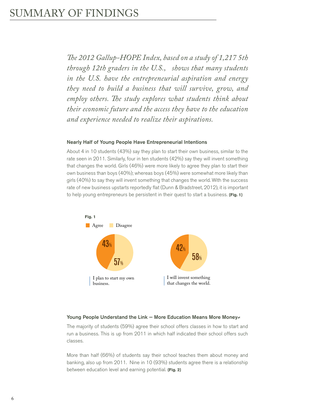*The 2012 Gallup-HOPE Index, based on a study of 1,217 5th through 12th graders in the U.S., shows that many students in the U.S. have the entrepreneurial aspiration and energy they need to build a business that will survive, grow, and employ others. The study explores what students think about their economic future and the access they have to the education and experience needed to realize their aspirations.* 

#### Nearly Half of Young People Have Entrepreneurial Intentions

About 4 in 10 students (43%) say they plan to start their own business, similar to the rate seen in 2011. Similarly, four in ten students (42%) say they will invent something that changes the world. Girls (46%) were more likely to agree they plan to start their own business than boys (40%); whereas boys (45%) were somewhat more likely than girls (40%) to say they will invent something that changes the world. With the success rate of new business upstarts reportedly flat (Dunn & Bradstreet, 2012), it is important to help young entrepreneurs be persistent in their quest to start a business. **{Fig. 1}**



#### Young People Understand the Link — More Education Means More Money≠

The majority of students (59%) agree their school offers classes in how to start and run a business. This is up from 2011 in which half indicated their school offers such classes.

More than half (66%) of students say their school teaches them about money and banking, also up from 2011. Nine in 10 (93%) students agree there is a relationship between education level and earning potential. **{Fig. 2}**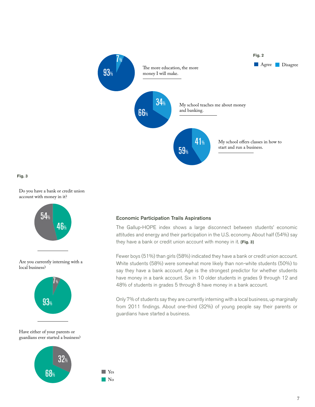

**Fig. 3**

Do you have a bank or credit union account with money in it?



Are you currently interning with a local business?



#### Have either of your parents or guardians ever started a business?



#### Economic Participation Trails Aspirations

The Gallup-HOPE index shows a large disconnect between students' economic attitudes and energy and their participation in the U.S. economy. About half (54%) say they have a bank or credit union account with money in it. **{Fig. 3}** 

Fewer boys (51%) than girls (58%) indicated they have a bank or credit union account. White students (58%) were somewhat more likely than non-white students (50%) to say they have a bank account. Age is the strongest predictor for whether students have money in a bank account. Six in 10 older students in grades 9 through 12 and 48% of students in grades 5 through 8 have money in a bank account.

Only 7% of students say they are currently interning with a local business, up marginally from 2011 findings. About one-third (32%) of young people say their parents or guardians have started a business.

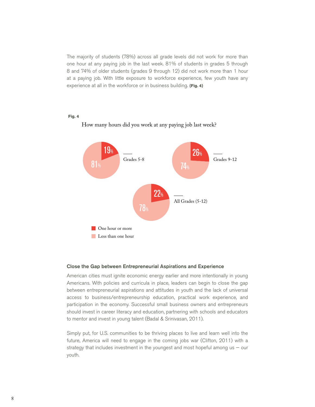The majority of students (78%) across all grade levels did not work for more than one hour at any paying job in the last week. 81% of students in grades 5 through 8 and 74% of older students (grades 9 through 12) did not work more than 1 hour at a paying job. With little exposure to workforce experience, few youth have any experience at all in the workforce or in business building. **{Fig. 4}** 

#### **Fig. 4**



#### How many hours did you work at any paying job last week?

#### Close the Gap between Entrepreneurial Aspirations and Experience

American cities must ignite economic energy earlier and more intentionally in young Americans. With policies and curricula in place, leaders can begin to close the gap between entrepreneurial aspirations and attitudes in youth and the lack of universal access to business/entrepreneurship education, practical work experience, and participation in the economy. Successful small business owners and entrepreneurs should invest in career literacy and education, partnering with schools and educators to mentor and invest in young talent (Badal & Srinivasan, 2011).

Simply put, for U.S. communities to be thriving places to live and learn well into the future, America will need to engage in the coming jobs war (Clifton, 2011) with a strategy that includes investment in the youngest and most hopeful among us  $-$  our youth.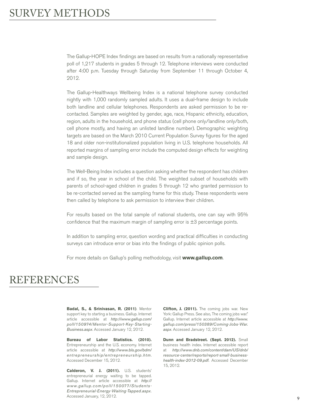The Gallup-HOPE Index findings are based on results from a nationally representative poll of 1,217 students in grades 5 through 12. Telephone interviews were conducted after 4:00 p.m. Tuesday through Saturday from September 11 through October 4, 2012.

The Gallup-Healthways Wellbeing Index is a national telephone survey conducted nightly with 1,000 randomly sampled adults. It uses a dual-frame design to include both landline and cellular telephones. Respondents are asked permission to be recontacted. Samples are weighted by gender, age, race, Hispanic ethnicity, education, region, adults in the household, and phone status (cell phone only/landline only/both, cell phone mostly, and having an unlisted landline number). Demographic weighting targets are based on the March 2010 Current Population Survey figures for the aged 18 and older non-institutionalized population living in U.S. telephone households. All reported margins of sampling error include the computed design effects for weighting and sample design.

The Well-Being Index includes a question asking whether the respondent has children and if so, the year in school of the child. The weighted subset of households with parents of school-aged children in grades 5 through 12 who granted permission to be re-contacted served as the sampling frame for this study. These respondents were then called by telephone to ask permission to interview their children.

For results based on the total sample of national students, one can say with 95% confidence that the maximum margin of sampling error is  $\pm 3$  percentage points.

In addition to sampling error, question wording and practical difficulties in conducting surveys can introduce error or bias into the findings of public opinion polls.

For more details on Gallup's polling methodology, visit **www.gallup.com**.

## REFERENCES

**Badal, S., & Srinivasan, R. (2011)**. Mentor support key to starting a business. Gallup. Internet article accessible at *http://www.gallup.com/ poll/150974/Mentor-Support-Key-Starting-Business.aspx*. Accessed January 12, 2012.

**Bureau of Labor Statistics. (2010).**  Entrepreneurship and the U.S. economy. Internet article accessible at *http://www.bls.gov/bdm/ entrepreneurship/entrepreneurship.htm*. Accessed December 15, 2012.

**Calderon, V. J. (2011).** U.S. students' entrepreneurial energy waiting to be tapped. Gallup. Internet article accessible at *http:// www.gallup.com/poll/150077/Students-Entrepreneurial-Energy-Waiting-Tapped.aspx.* Accessed January, 12, 2012.

**Clifton, J. (2011).** The coming jobs war. New York: Gallup Press. See also, The coming jobs war." Gallup. Internet article accessible at *http://www. gallup.com/press/150389/Coming-Jobs-War. aspx*. Accessed January 12, 2012.

**Dunn and Bradstreet. (Sept. 2012).** Small business health index. Internet accessible report at *http://www.dnb.com/content/dam/US/dnb/ resource-center/reports/report-small-businesshealth-index-2012-09.pdf.* Accessed December 15, 2012.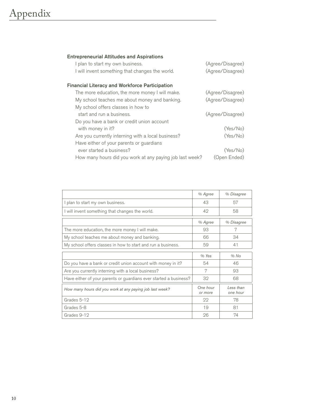## Appendix

| <b>Entrepreneurial Attitudes and Aspirations</b>         |                  |
|----------------------------------------------------------|------------------|
| I plan to start my own business.                         | (Agree/Disagree) |
| I will invent something that changes the world.          | (Agree/Disagree) |
| <b>Financial Literacy and Workforce Participation</b>    |                  |
| The more education, the more money I will make.          | (Agree/Disagree) |
| My school teaches me about money and banking.            | (Agree/Disagree) |
| My school offers classes in how to                       |                  |
| start and run a business.                                | (Agree/Disagree) |
| Do you have a bank or credit union account               |                  |
| with money in it?                                        | (Yes/No)         |
| Are you currently interning with a local business?       | (Yes/No)         |
| Have either of your parents or guardians                 |                  |
| ever started a business?                                 | (Yes/No)         |
| How many hours did you work at any paying job last week? | (Open Ended)     |

|                                                                   | % Agree             | % Disagree            |
|-------------------------------------------------------------------|---------------------|-----------------------|
| I plan to start my own business.                                  | 43                  | 57                    |
| I will invent something that changes the world.                   | 42                  | 58                    |
|                                                                   | % Agree             | % Disagree            |
| The more education, the more money I will make.                   | 93                  | 7                     |
| My school teaches me about money and banking.                     | 66                  | 34                    |
| My school offers classes in how to start and run a business.      | 59                  | 41                    |
|                                                                   | $%$ Yes             | $%$ No                |
| Do you have a bank or credit union account with money in it?      | 54                  | 46                    |
| Are you currently interning with a local business?                | 7                   | 93                    |
| Have either of your parents or guardians ever started a business? | 32                  | 68                    |
| How many hours did you work at any paying job last week?          | One hour<br>or more | Less than<br>one hour |
| Grades 5-12                                                       | 22                  | 78                    |
| Grades 5-8                                                        | 19                  | 81                    |
| Grades 9-12                                                       | 26                  | 74                    |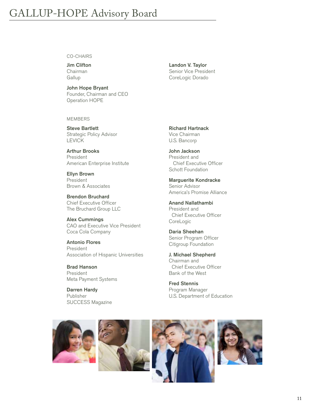#### CO-CHAIRS

Jim Clifton Chairman **Gallup** 

John Hope Bryant Founder, Chairman and CEO Operation HOPE

MEMBERS

Steve Bartlett Strategic Policy Advisor LEVICK

Arthur Brooks President American Enterprise Institute

Ellyn Brown President Brown & Associates

Brendon Bruchard Chief Executive Officer The Bruchard Group LLC

Alex Cummings CAO and Executive Vice President Coca Cola Company

Antonio Flores President Association of Hispanic Universities

Brad Hanson President Meta Payment Systems

Darren Hardy Publisher SUCCESS Magazine

Landon V. Taylor Senior Vice President CoreLogic Dorado

Richard Hartnack Vice Chairman U.S. Bancorp

John Jackson President and Chief Executive Officer Schott Foundation

Marguerite Kondracke Senior Advisor America's Promise Alliance

Anand Nallathambi President and Chief Executive Officer CoreLogic

Daria Sheehan Senior Program Officer Citigroup Foundation

J. Michael Shepherd Chairman and Chief Executive Officer Bank of the West

Fred Stennis Program Manager U.S. Department of Education

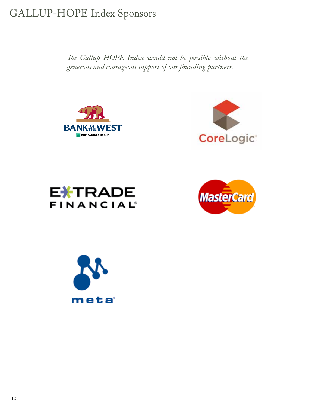*The Gallup-HOPE Index would not be possible without the generous and courageous support of our founding partners.* 









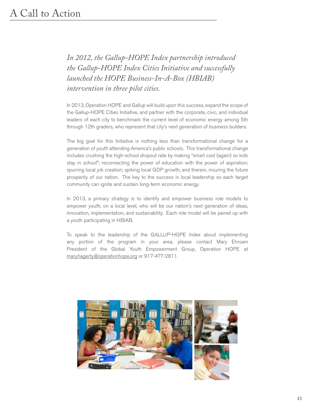*In 2012, the Gallup-HOPE Index partnership introduced the Gallup-HOPE Index Cities Initiative and successfully launched the HOPE Business-In-A-Box (HBIAB) intervention in three pilot cities.* 

In 2013, Operation HOPE and Gallup will build upon this success, expand the scope of the Gallup-HOPE Cities Initiative, and partner with the corporate, civic, and individual leaders of each city to benchmark the current level of economic energy among 5th through 12th graders, who represent that city's next generation of business builders.

The big goal for this Initiative is nothing less than transformational change for a generation of youth attending America's public schools. This transformational change includes crushing the high-school dropout rate by making "smart cool (again) so kids stay in school"; reconnecting the power of education with the power of aspiration; spurring local job creation; spiking local GDP growth; and therein, insuring the future prosperity of our nation. The key to the success is local leadership so each target community can ignite and sustain long-term economic energy.

In 2013, a primary strategy is to identify and empower business role models to empower youth, on a local level, who will be our nation's next generation of ideas, innovation, implementation, and sustainability. Each role model will be paired up with a youth participating in HBIAB.

To speak to the leadership of the GALLUP-HOPE Index about implementing any portion of the program in your area, please contact Mary Ehrsam President of the Global Youth Empowerment Group, Operation HOPE at mary.hagerty@operationhope.org or 917-477-2811.

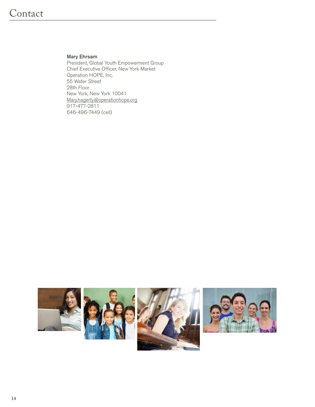#### Mary Ehrsam

President, Global Youth Empowerment Group Chief Executive Officer, New York Market Operation HOPE, Inc. 55 Water Street 28th Floor New York, New York 10041 Mary.hagerty@operationhope.org 917-477-2811 646-496-7449 (cell)